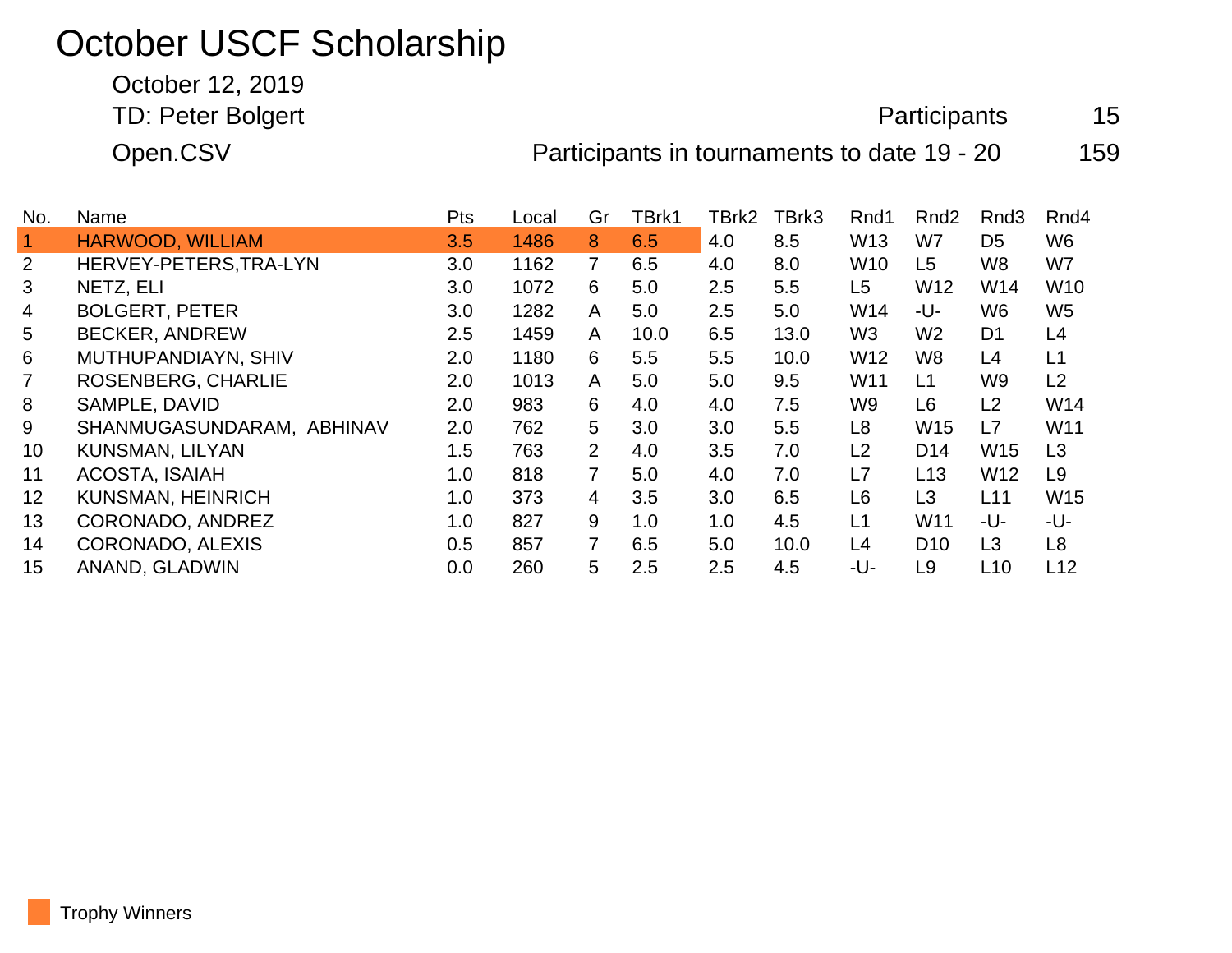## October USCF Scholarship

October 12, 2019

TD: Peter Bolgert **Participants** 15

Open.CSV **Participants in tournaments to date 19 - 20** 159

| No.            | Name                      | <b>Pts</b> | Local | Gr             | TBrk1 | TBrk2 | TBrk3 | Rnd1            | Rnd <sub>2</sub> | Rnd <sub>3</sub> | Rnd4            |
|----------------|---------------------------|------------|-------|----------------|-------|-------|-------|-----------------|------------------|------------------|-----------------|
|                | <b>HARWOOD, WILLIAM</b>   | 3.5        | 1486  | 8              | 6.5   | 4.0   | 8.5   | W <sub>13</sub> | W7               | D <sub>5</sub>   | W <sub>6</sub>  |
| $\overline{2}$ | HERVEY-PETERS, TRA-LYN    | 3.0        | 1162  | $\overline{7}$ | 6.5   | 4.0   | 8.0   | W <sub>10</sub> | L5               | W <sub>8</sub>   | W7              |
| 3              | NETZ, ELI                 | 3.0        | 1072  | 6              | 5.0   | 2.5   | 5.5   | L5              | W <sub>12</sub>  | W14              | W <sub>10</sub> |
| 4              | <b>BOLGERT, PETER</b>     | 3.0        | 1282  | A              | 5.0   | 2.5   | 5.0   | W14             | -U-              | W <sub>6</sub>   | W <sub>5</sub>  |
| 5              | <b>BECKER, ANDREW</b>     | 2.5        | 1459  | A              | 10.0  | 6.5   | 13.0  | W <sub>3</sub>  | W <sub>2</sub>   | D <sub>1</sub>   | L4              |
| 6              | MUTHUPANDIAYN, SHIV       | 2.0        | 1180  | 6              | 5.5   | 5.5   | 10.0  | W <sub>12</sub> | W8               | L4               | L1              |
| $\overline{7}$ | ROSENBERG, CHARLIE        | 2.0        | 1013  | A              | 5.0   | 5.0   | 9.5   | W <sub>11</sub> | L1               | W <sub>9</sub>   | L2              |
| 8              | SAMPLE, DAVID             | 2.0        | 983   | 6              | 4.0   | 4.0   | 7.5   | W9              | L <sub>6</sub>   | L2               | W14             |
| 9              | SHANMUGASUNDARAM, ABHINAV | 2.0        | 762   | 5              | 3.0   | 3.0   | 5.5   | L8              | W <sub>15</sub>  | L7               | W11             |
| 10             | <b>KUNSMAN, LILYAN</b>    | 1.5        | 763   | $\overline{2}$ | 4.0   | 3.5   | 7.0   | L2              | D <sub>14</sub>  | W <sub>15</sub>  | L3              |
| 11             | ACOSTA, ISAIAH            | 1.0        | 818   | $\overline{7}$ | 5.0   | 4.0   | 7.0   | L7              | L13              | W <sub>12</sub>  | L <sub>9</sub>  |
| 12             | <b>KUNSMAN, HEINRICH</b>  | 1.0        | 373   | $\overline{4}$ | 3.5   | 3.0   | 6.5   | L6              | L3               | L11              | W15             |
| 13             | CORONADO, ANDREZ          | 1.0        | 827   | 9              | 1.0   | 1.0   | 4.5   | L1              | W <sub>11</sub>  | -U-              | -U-             |
| 14             | CORONADO, ALEXIS          | 0.5        | 857   | $\overline{7}$ | 6.5   | 5.0   | 10.0  | L4              | D <sub>10</sub>  | L3               | L <sub>8</sub>  |
| 15             | ANAND, GLADWIN            | 0.0        | 260   | 5              | 2.5   | 2.5   | 4.5   | -U-             | L <sub>9</sub>   | L <sub>10</sub>  | L <sub>12</sub> |